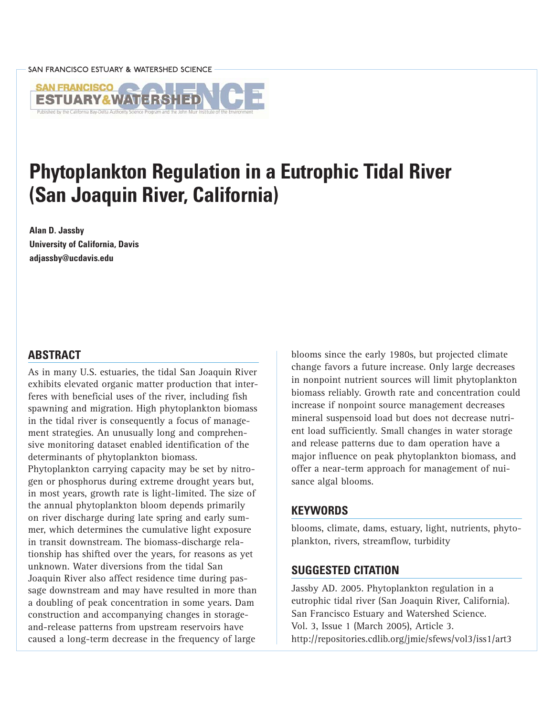

# **Phytoplankton Regulation in a Eutrophic Tidal River (San Joaquin River, California)**

**Alan D. Jassby University of California, Davis adjassby@ucdavis.edu**

## **ABSTRACT**

As in many U.S. estuaries, the tidal San Joaquin River exhibits elevated organic matter production that interferes with beneficial uses of the river, including fish spawning and migration. High phytoplankton biomass in the tidal river is consequently a focus of management strategies. An unusually long and comprehensive monitoring dataset enabled identification of the determinants of phytoplankton biomass.

Phytoplankton carrying capacity may be set by nitrogen or phosphorus during extreme drought years but, in most years, growth rate is light-limited. The size of the annual phytoplankton bloom depends primarily on river discharge during late spring and early summer, which determines the cumulative light exposure in transit downstream. The biomass-discharge relationship has shifted over the years, for reasons as yet unknown. Water diversions from the tidal San Joaquin River also affect residence time during passage downstream and may have resulted in more than a doubling of peak concentration in some years. Dam construction and accompanying changes in storageand-release patterns from upstream reservoirs have caused a long-term decrease in the frequency of large

blooms since the early 1980s, but projected climate change favors a future increase. Only large decreases in nonpoint nutrient sources will limit phytoplankton biomass reliably. Growth rate and concentration could increase if nonpoint source management decreases mineral suspensoid load but does not decrease nutrient load sufficiently. Small changes in water storage and release patterns due to dam operation have a major influence on peak phytoplankton biomass, and offer a near-term approach for management of nuisance algal blooms.

## **KEYWORDS**

blooms, climate, dams, estuary, light, nutrients, phytoplankton, rivers, streamflow, turbidity

## **SUGGESTED CITATION**

Jassby AD. 2005. Phytoplankton regulation in a eutrophic tidal river (San Joaquin River, California). San Francisco Estuary and Watershed Science. Vol. 3, Issue 1 (March 2005), Article 3. <http://repositories.cdlib.org/jmie/sfews/vol3/iss1/art3>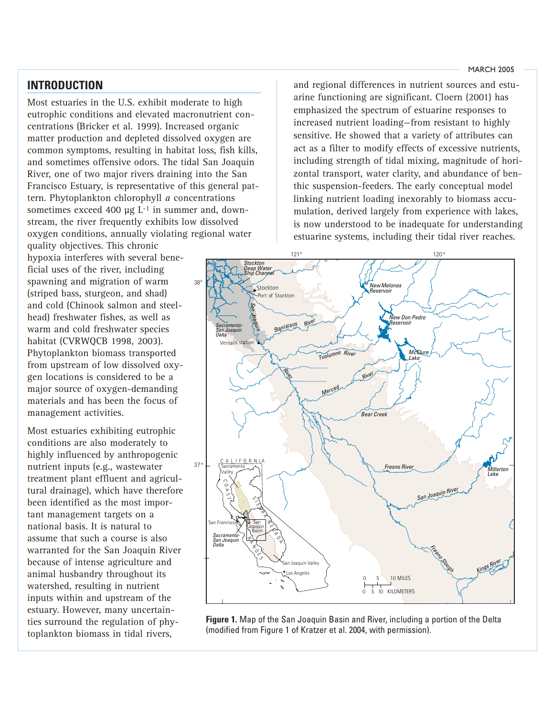# <span id="page-1-0"></span>**INTRODUCTION**

Most estuaries in the U.S. exhibit moderate to high eutrophic conditions and elevated macronutrient concentrations (Bricker et al. 1999). Increased organic matter production and depleted dissolved oxygen are common symptoms, resulting in habitat loss, fish kills, and sometimes offensive odors. The tidal San Joaquin River, one of two major rivers draining into the San Francisco Estuary, is representative of this general pattern. Phytoplankton chlorophyll *a* concentrations sometimes exceed 400  $\mu$ g L<sup>-1</sup> in summer and, downstream, the river frequently exhibits low dissolved oxygen conditions, annually violating regional water

quality objectives. This chronic hypoxia interferes with several beneficial uses of the river, including spawning and migration of warm (striped bass, sturgeon, and shad) and cold (Chinook salmon and steelhead) freshwater fishes, as well as warm and cold freshwater species habitat (CVRWQCB 1998, 2003). Phytoplankton biomass transported from upstream of low dissolved oxygen locations is considered to be a major source of oxygen-demanding materials and has been the focus of management activities.

Most estuaries exhibiting eutrophic conditions are also moderately to highly influenced by anthropogenic nutrient inputs (e.g., wastewater treatment plant effluent and agricultural drainage), which have therefore been identified as the most important management targets on a national basis. It is natural to assume that such a course is also warranted for the San Joaquin River because of intense agriculture and animal husbandry throughout its watershed, resulting in nutrient inputs within and upstream of the estuary. However, many uncertainties surround the regulation of phytoplankton biomass in tidal rivers,

and regional differences in nutrient sources and estuarine functioning are significant. Cloern (2001) has emphasized the spectrum of estuarine responses to increased nutrient loading—from resistant to highly sensitive. He showed that a variety of attributes can act as a filter to modify effects of excessive nutrients, including strength of tidal mixing, magnitude of horizontal transport, water clarity, and abundance of benthic suspension-feeders. The early conceptual model linking nutrient loading inexorably to biomass accumulation, derived largely from experience with lakes, is now understood to be inadequate for understanding estuarine systems, including their tidal river reaches.



**Figure 1.** Map of the San Joaquin Basin and River, including a portion of the Delta (modified from Figure 1 of Kratzer et al. 2004, with permission).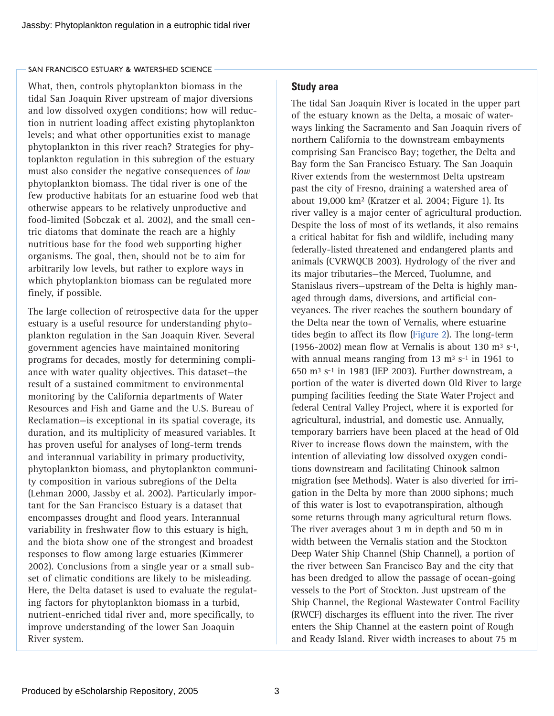What, then, controls phytoplankton biomass in the tidal San Joaquin River upstream of major diversions and low dissolved oxygen conditions; how will reduction in nutrient loading affect existing phytoplankton levels; and what other opportunities exist to manage phytoplankton in this river reach? Strategies for phytoplankton regulation in this subregion of the estuary must also consider the negative consequences of *low* phytoplankton biomass. The tidal river is one of the few productive habitats for an estuarine food web that otherwise appears to be relatively unproductive and food-limited (Sobczak et al. 2002), and the small centric diatoms that dominate the reach are a highly nutritious base for the food web supporting higher organisms. The goal, then, should not be to aim for arbitrarily low levels, but rather to explore ways in which phytoplankton biomass can be regulated more finely, if possible.

The large collection of retrospective data for the upper estuary is a useful resource for understanding phytoplankton regulation in the San Joaquin River. Several government agencies have maintained monitoring programs for decades, mostly for determining compliance with water quality objectives. This dataset—the result of a sustained commitment to environmental monitoring by the California departments of Water Resources and Fish and Game and the U.S. Bureau of Reclamation—is exceptional in its spatial coverage, its duration, and its multiplicity of measured variables. It has proven useful for analyses of long-term trends and interannual variability in primary productivity, phytoplankton biomass, and phytoplankton community composition in various subregions of the Delta (Lehman 2000, Jassby et al. 2002). Particularly important for the San Francisco Estuary is a dataset that encompasses drought and flood years. Interannual variability in freshwater flow to this estuary is high, and the biota show one of the strongest and broadest responses to flow among large estuaries (Kimmerer 2002). Conclusions from a single year or a small subset of climatic conditions are likely to be misleading. Here, the Delta dataset is used to evaluate the regulating factors for phytoplankton biomass in a turbid, nutrient-enriched tidal river and, more specifically, to improve understanding of the lower San Joaquin River system.

## **Study area**

The tidal San Joaquin River is located in the upper part of the estuary known as the Delta, a mosaic of waterways linking the Sacramento and San Joaquin rivers of northern California to the downstream embayments comprising San Francisco Bay; together, the Delta and Bay form the San Francisco Estuary. The San Joaquin River extends from the westernmost Delta upstream past the city of Fresno, draining a watershed area of about 19,000 km2 (Kratzer et al. 2004; Figure 1). Its river valley is a major center of agricultural production. Despite the loss of most of its wetlands, it also remains a critical habitat for fish and wildlife, including many federally-listed threatened and endangered plants and animals (CVRWQCB 2003). Hydrology of the river and its major tributaries—the Merced, Tuolumne, and Stanislaus rivers—upstream of the Delta is highly managed through dams, diversions, and artificial conveyances. The river reaches the southern boundary of the Delta near the town of Vernalis, where estuarine tides begin to affect its flow [\(Figure 2\). T](#page-3-0)he long-term (1956-2002) mean flow at Vernalis is about 130 m<sup>3</sup> s<sup>-1</sup>, with annual means ranging from 13  $\text{m}^3$  s<sup>-1</sup> in 1961 to 650 m3 s-1 in 1983 (IEP 2003). Further downstream, a portion of the water is diverted down Old River to large pumping facilities feeding the State Water Project and federal Central Valley Project, where it is exported for agricultural, industrial, and domestic use. Annually, temporary barriers have been placed at the head of Old River to increase flows down the mainstem, with the intention of alleviating low dissolved oxygen conditions downstream and facilitating Chinook salmon migration (see Methods). Water is also diverted for irrigation in the Delta by more than 2000 siphons; much of this water is lost to evapotranspiration, although some returns through many agricultural return flows. The river averages about 3 m in depth and 50 m in width between the Vernalis station and the Stockton Deep Water Ship Channel (Ship Channel), a portion of the river between San Francisco Bay and the city that has been dredged to allow the passage of ocean-going vessels to the Port of Stockton. Just upstream of the Ship Channel, the Regional Wastewater Control Facility (RWCF) discharges its effluent into the river. The river enters the Ship Channel at the eastern point of Rough and Ready Island. River width increases to about 75 m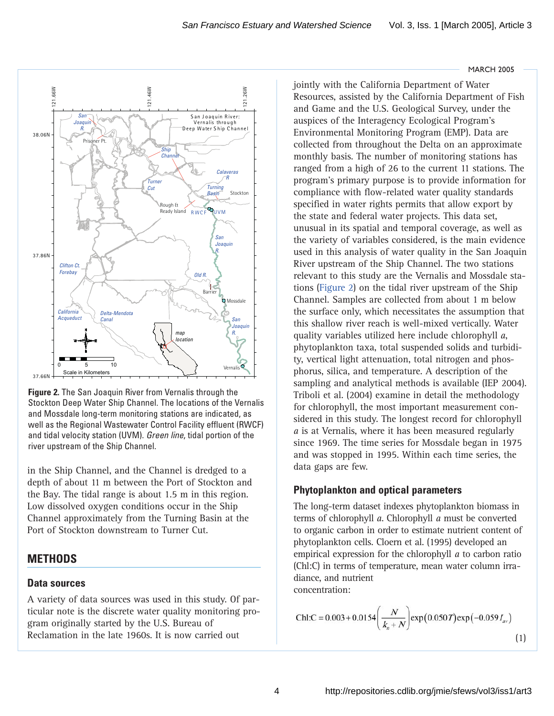

<span id="page-3-0"></span>

**Figure 2.** The San Joaquin River from Vernalis through the Stockton Deep Water Ship Channel. The locations of the Vernalis and Mossdale long-term monitoring stations are indicated, as well as the Regional Wastewater Control Facility effluent (RWCF) and tidal velocity station (UVM). *Green line*, tidal portion of the river upstream of the Ship Channel.

in the Ship Channel, and the Channel is dredged to a depth of about 11 m between the Port of Stockton and the Bay. The tidal range is about 1.5 m in this region. Low dissolved oxygen conditions occur in the Ship Channel approximately from the Turning Basin at the Port of Stockton downstream to Turner Cut.

# **METHODS**

# **Data sources**

A variety of data sources was used in this study. Of particular note is the discrete water quality monitoring program originally started by the U.S. Bureau of Reclamation in the late 1960s. It is now carried out

jointly with the California Department of Water Resources, assisted by the California Department of Fish and Game and the U.S. Geological Survey, under the auspices of the Interagency Ecological Program's Environmental Monitoring Program (EMP). Data are collected from throughout the Delta on an approximate monthly basis. The number of monitoring stations has ranged from a high of 26 to the current 11 stations. The program's primary purpose is to provide information for compliance with flow-related water quality standards specified in water rights permits that allow export by the state and federal water projects. This data set, unusual in its spatial and temporal coverage, as well as the variety of variables considered, is the main evidence used in this analysis of water quality in the San Joaquin River upstream of the Ship Channel. The two stations relevant to this study are the Vernalis and Mossdale stations (Figure 2) on the tidal river upstream of the Ship Channel. Samples are collected from about 1 m below the surface only, which necessitates the assumption that this shallow river reach is well-mixed vertically. Water quality variables utilized here include chlorophyll *a*, phytoplankton taxa, total suspended solids and turbidity, vertical light attenuation, total nitrogen and phosphorus, silica, and temperature. A description of the sampling and analytical methods is available (IEP 2004). Triboli et al. (2004) examine in detail the methodology for chlorophyll, the most important measurement considered in this study. The longest record for chlorophyll *a* is at Vernalis, where it has been measured regularly since 1969. The time series for Mossdale began in 1975 and was stopped in 1995. Within each time series, the data gaps are few.

# **Phytoplankton and optical parameters**

The long-term dataset indexes phytoplankton biomass in terms of chlorophyll *a*. Chlorophyll *a* must be converted to organic carbon in order to estimate nutrient content of phytoplankton cells. Cloern et al. (1995) developed an empirical expression for the chlorophyll *a* to carbon ratio (Chl:C) in terms of temperature, mean water column irradiance, and nutrient concentration:

Chl:C = 0.003 + 0.0154 
$$
\left(\frac{N}{k_n + N}\right)
$$
 exp(0.050T) exp(-0.059 $I_{av}$ ) (1)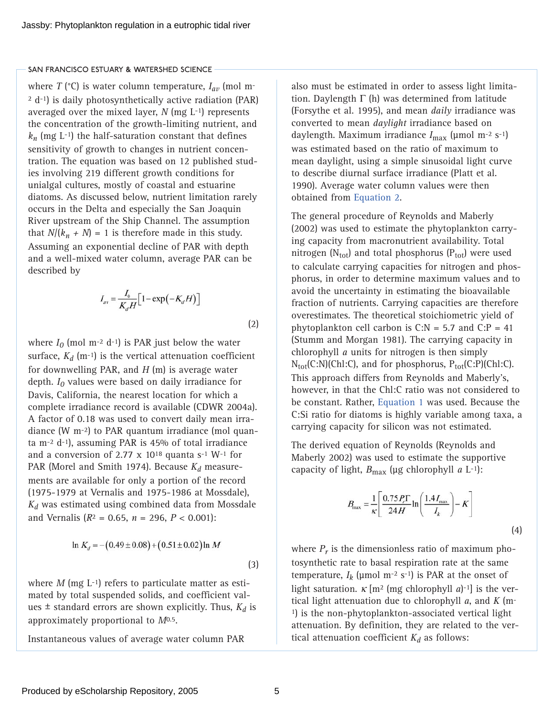<span id="page-4-0"></span>where  $T$  ( $^{\circ}$ C) is water column temperature,  $I_{av}$  (mol m-2 d-1) is daily photosynthetically active radiation (PAR) averaged over the mixed layer, *N* (mg L-1) represents the concentration of the growth-limiting nutrient, and  $k_n$  (mg L<sup>-1</sup>) the half-saturation constant that defines sensitivity of growth to changes in nutrient concentration. The equation was based on 12 published studies involving 219 different growth conditions for unialgal cultures, mostly of coastal and estuarine diatoms. As discussed below, nutrient limitation rarely occurs in the Delta and especially the San Joaquin River upstream of the Ship Channel. The assumption that  $N/(k_n + N) = 1$  is therefore made in this study. Assuming an exponential decline of PAR with depth and a well-mixed water column, average PAR can be described by

$$
I_{\rm av} = \frac{I_0}{K_d H} \Big[ 1 - \exp\left(-K_d H\right) \Big]
$$

(2)

where  $I_0$  (mol m<sup>-2</sup> d<sup>-1</sup>) is PAR just below the water surface,  $K_d$  (m<sup>-1</sup>) is the vertical attenuation coefficient for downwelling PAR, and *H* (m) is average water depth. *I0* values were based on daily irradiance for Davis, California, the nearest location for which a complete irradiance record is available (CDWR 2004a). A factor of 0.18 was used to convert daily mean irradiance (W m-2) to PAR quantum irradiance (mol quanta m-2 d-1), assuming PAR is 45% of total irradiance and a conversion of 2.77  $\times$  10<sup>18</sup> quanta s<sup>-1</sup> W<sup>-1</sup> for PAR (Morel and Smith 1974). Because  $K_d$  measurements are available for only a portion of the record (1975-1979 at Vernalis and 1975-1986 at Mossdale), *Kd* was estimated using combined data from Mossdale and Vernalis ( $R^2 = 0.65$ ,  $n = 296$ ,  $P < 0.001$ ):

$$
\ln K_d = -(0.49 \pm 0.08) + (0.51 \pm 0.02) \ln M
$$

where  $M$  (mg  $L^{-1}$ ) refers to particulate matter as estimated by total suspended solids, and coefficient values  $\pm$  standard errors are shown explicitly. Thus,  $K_d$  is approximately proportional to *M*0.5.

Instantaneous values of average water column PAR

also must be estimated in order to assess light limitation. Daylength  $\Gamma$  (h) was determined from latitude (Forsythe et al. 1995), and mean *daily* irradiance was converted to mean *daylight* irradiance based on daylength. Maximum irradiance *I*max (µmol m-2 s-1) was estimated based on the ratio of maximum to mean daylight, using a simple sinusoidal light curve to describe diurnal surface irradiance (Platt et al. 1990). Average water column values were then obtained from Equation 2.

The general procedure of Reynolds and Maberly (2002) was used to estimate the phytoplankton carrying capacity from macronutrient availability. Total nitrogen ( $N_{\text{tot}}$ ) and total phosphorus ( $P_{\text{tot}}$ ) were used to calculate carrying capacities for nitrogen and phosphorus, in order to determine maximum values and to avoid the uncertainty in estimating the bioavailable fraction of nutrients. Carrying capacities are therefore overestimates. The theoretical stoichiometric yield of phytoplankton cell carbon is  $C:N = 5.7$  and  $C:P = 41$ (Stumm and Morgan 1981). The carrying capacity in chlorophyll *a* units for nitrogen is then simply  $N_{tot}(C:N)(Ch1:C)$ , and for phosphorus,  $P_{tot}(C:P)(Ch1:C)$ . This approach differs from Reynolds and Maberly's, however, in that the Chl:C ratio was not considered to be constant. Rather[, Equation 1](#page-3-0) was used. Because the C:Si ratio for diatoms is highly variable among taxa, a carrying capacity for silicon was not estimated.

The derived equation of Reynolds (Reynolds and Maberly 2002) was used to estimate the supportive capacity of light,  $B_{\text{max}}$  (µg chlorophyll *a* L<sup>-1</sup>):

$$
B_{\text{max}} = \frac{1}{\kappa} \left[ \frac{0.75 P_r \Gamma}{24 H} \ln \left( \frac{1.4 I_{\text{max}}}{I_k} \right) - K \right]
$$
(4)

where  $P_r$  is the dimensionless ratio of maximum photosynthetic rate to basal respiration rate at the same temperature,  $I_k$  (µmol m<sup>-2</sup> s<sup>-1</sup>) is PAR at the onset of light saturation.  $\kappa$  [m<sup>2</sup> (mg chlorophyll *a*)<sup>-1</sup>] is the vertical light attenuation due to chlorophyll *a*, and *K* (m-1) is the non-phytoplankton-associated vertical light attenuation. By definition, they are related to the vertical attenuation coefficient  $K_d$  as follows:

(3)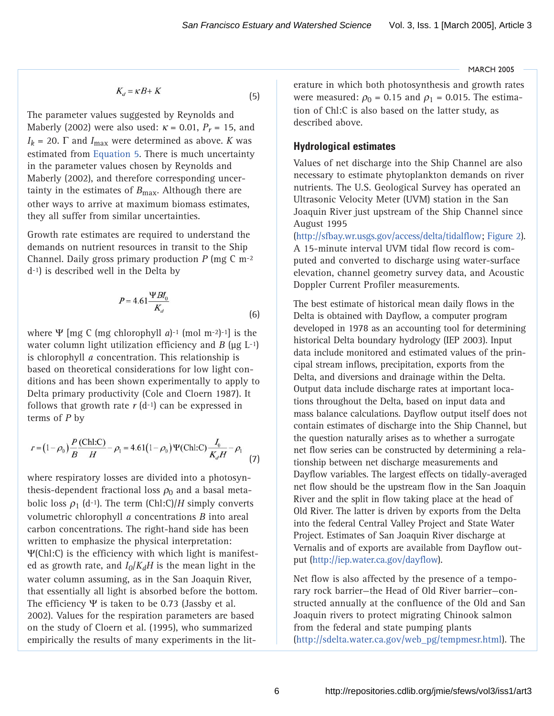$$
K_d = \kappa B + K \tag{5}
$$

<span id="page-5-0"></span>The parameter values suggested by Reynolds and Maberly (2002) were also used:  $\kappa$  = 0.01,  $P_r$  = 15, and  $I_k$  = 20.  $\Gamma$  and  $I_{\text{max}}$  were determined as above. *K* was estimated from Equation 5. There is much uncertainty in the parameter values chosen by Reynolds and Maberly (2002), and therefore corresponding uncertainty in the estimates of *B*<sub>max</sub>. Although there are other ways to arrive at maximum biomass estimates, they all suffer from similar uncertainties.

Growth rate estimates are required to understand the demands on nutrient resources in transit to the Ship Channel. Daily gross primary production *P* (mg C m-2 d-1) is described well in the Delta by

$$
P = 4.61 \frac{\Psi B I_0}{K_d} \tag{6}
$$

where Ψ [mg C (mg chlorophyll *a*)-1 (mol m-2)-1] is the water column light utilization efficiency and  $B$  ( $\mu$ g L<sup>-1</sup>) is chlorophyll *a* concentration. This relationship is based on theoretical considerations for low light conditions and has been shown experimentally to apply to Delta primary productivity (Cole and Cloern 1987). It follows that growth rate  $r$  (d<sup>-1</sup>) can be expressed in terms of *P* by

$$
r = (1 - \rho_0) \frac{P \text{ (Chi:C)}}{B} - \rho_1 = 4.61 (1 - \rho_0) \Psi \text{ (Chi:C)} \frac{I_0}{K_d H} - \rho_1 \tag{7}
$$

where respiratory losses are divided into a photosynthesis-dependent fractional loss  $\rho_0$  and a basal metabolic loss  $\rho_1$  (d<sup>-1</sup>). The term (Chl:C)/*H* simply converts volumetric chlorophyll *a* concentrations *B* into areal carbon concentrations. The right-hand side has been written to emphasize the physical interpretation: Ψ(Chl:C) is the efficiency with which light is manifested as growth rate, and  $I_0/K_dH$  is the mean light in the water column assuming, as in the San Joaquin River, that essentially all light is absorbed before the bottom. The efficiency Ψ is taken to be 0.73 (Jassby et al. 2002). Values for the respiration parameters are based on the study of Cloern et al. (1995), who summarized empirically the results of many experiments in the literature in which both photosynthesis and growth rates were measured:  $\rho_0$  = 0.15 and  $\rho_1$  = 0.015. The estimation of Chl:C is also based on the latter study, as described above.

## **Hydrological estimates**

Values of net discharge into the Ship Channel are also necessary to estimate phytoplankton demands on river nutrients. The U.S. Geological Survey has operated an Ultrasonic Velocity Meter (UVM) station in the San Joaquin River just upstream of the Ship Channel since August 1995

([http://sfbay.wr.usgs.gov/access/delta/tidalflow;](http://sfbay.wr.usgs.gov/access/delta/tidalflow) Figure 2). A 15-minute interval UVM tidal flow record is computed and converted to discharge using water-surface elevation, channel geometry survey data, and Acoustic Doppler Current Profiler measurements.

The best estimate of historical mean daily flows in the Delta is obtained with Dayflow, a computer program developed in 1978 as an accounting tool for determining historical Delta boundary hydrology (IEP 2003). Input data include monitored and estimated values of the principal stream inflows, precipitation, exports from the Delta, and diversions and drainage within the Delta. Output data include discharge rates at important locations throughout the Delta, based on input data and mass balance calculations. Dayflow output itself does not contain estimates of discharge into the Ship Channel, but the question naturally arises as to whether a surrogate net flow series can be constructed by determining a relationship between net discharge measurements and Dayflow variables. The largest effects on tidally-averaged net flow should be the upstream flow in the San Joaquin River and the split in flow taking place at the head of Old River. The latter is driven by exports from the Delta into the federal Central Valley Project and State Water Project. Estimates of San Joaquin River discharge at Vernalis and of exports are available from Dayflow output (<http://iep.water.ca.gov/dayflow>).

Net flow is also affected by the presence of a temporary rock barrier—the Head of Old River barrier—constructed annually at the confluence of the Old and San Joaquin rivers to protect migrating Chinook salmon from the federal and state pumping plants ([http://sdelta.water.ca.gov/web\\_pg/tempmesr.htm](http://sdelta.water.ca.gov/web_pg/tempmesr.html)l). The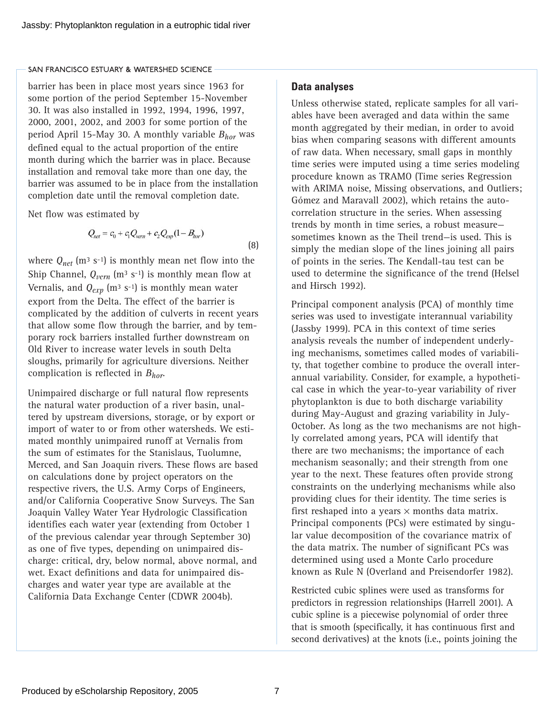<span id="page-6-0"></span>barrier has been in place most years since 1963 for some portion of the period September 15-November 30. It was also installed in 1992, 1994, 1996, 1997, 2000, 2001, 2002, and 2003 for some portion of the period April 15-May 30. A monthly variable *Bhor* was defined equal to the actual proportion of the entire month during which the barrier was in place. Because installation and removal take more than one day, the barrier was assumed to be in place from the installation completion date until the removal completion date.

Net flow was estimated by

$$
Q_{net} = c_0 + c_1 Q_{vern} + c_2 Q_{exp} (1 - B_{hor})
$$

(8)

where  $Q_{net}$  (m<sup>3</sup> s<sup>-1</sup>) is monthly mean net flow into the Ship Channel,  $Q_{vern}$  (m<sup>3</sup> s<sup>-1</sup>) is monthly mean flow at Vernalis, and  $Q_{exp}$  (m<sup>3</sup> s<sup>-1</sup>) is monthly mean water export from the Delta. The effect of the barrier is complicated by the addition of culverts in recent years that allow some flow through the barrier, and by temporary rock barriers installed further downstream on Old River to increase water levels in south Delta sloughs, primarily for agriculture diversions. Neither complication is reflected in *Bhor*.

Unimpaired discharge or full natural flow represents the natural water production of a river basin, unaltered by upstream diversions, storage, or by export or import of water to or from other watersheds. We estimated monthly unimpaired runoff at Vernalis from the sum of estimates for the Stanislaus, Tuolumne, Merced, and San Joaquin rivers. These flows are based on calculations done by project operators on the respective rivers, the U.S. Army Corps of Engineers, and/or California Cooperative Snow Surveys. The San Joaquin Valley Water Year Hydrologic Classification identifies each water year (extending from October 1 of the previous calendar year through September 30) as one of five types, depending on unimpaired discharge: critical, dry, below normal, above normal, and wet. Exact definitions and data for unimpaired discharges and water year type are available at the California Data Exchange Center (CDWR 2004b).

## **Data analyses**

Unless otherwise stated, replicate samples for all variables have been averaged and data within the same month aggregated by their median, in order to avoid bias when comparing seasons with different amounts of raw data. When necessary, small gaps in monthly time series were imputed using a time series modeling procedure known as TRAMO (Time series Regression with ARIMA noise, Missing observations, and Outliers; Gómez and Maravall 2002), which retains the autocorrelation structure in the series. When assessing trends by month in time series, a robust measure sometimes known as the Theil trend—is used. This is simply the median slope of the lines joining all pairs of points in the series. The Kendall-tau test can be used to determine the significance of the trend (Helsel and Hirsch 1992).

Principal component analysis (PCA) of monthly time series was used to investigate interannual variability (Jassby 1999). PCA in this context of time series analysis reveals the number of independent underlying mechanisms, sometimes called modes of variability, that together combine to produce the overall interannual variability. Consider, for example, a hypothetical case in which the year-to-year variability of river phytoplankton is due to both discharge variability during May-August and grazing variability in July-October. As long as the two mechanisms are not highly correlated among years, PCA will identify that there are two mechanisms; the importance of each mechanism seasonally; and their strength from one year to the next. These features often provide strong constraints on the underlying mechanisms while also providing clues for their identity. The time series is first reshaped into a years  $\times$  months data matrix. Principal components (PCs) were estimated by singular value decomposition of the covariance matrix of the data matrix. The number of significant PCs was determined using used a Monte Carlo procedure known as Rule N (Overland and Preisendorfer 1982).

Restricted cubic splines were used as transforms for predictors in regression relationships (Harrell 2001). A cubic spline is a piecewise polynomial of order three that is smooth (specifically, it has continuous first and second derivatives) at the knots (i.e., points joining the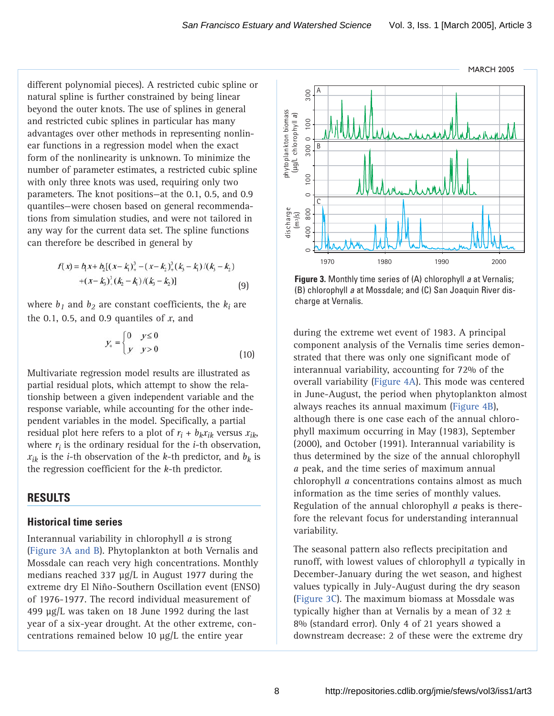<span id="page-7-0"></span>different polynomial pieces). A restricted cubic spline or natural spline is further constrained by being linear beyond the outer knots. The use of splines in general and restricted cubic splines in particular has many advantages over other methods in representing nonlinear functions in a regression model when the exact form of the nonlinearity is unknown. To minimize the number of parameter estimates, a restricted cubic spline with only three knots was used, requiring only two parameters. The knot positions—at the 0.1, 0.5, and 0.9 quantiles—were chosen based on general recommendations from simulation studies, and were not tailored in any way for the current data set. The spline functions can therefore be described in general by

$$
f(x) = b_1 x + b_2 [(x - k_1)_+^3 - (x - k_2)_+^3 (k_3 - k_1)/(k_3 - k_2)
$$
  
 
$$
+ (x - k_3)_+^3 (k_2 - k_1)/(k_3 - k_2)]
$$
 (9)

where  $b_1$  and  $b_2$  are constant coefficients, the  $k_i$  are the 0.1, 0.5, and 0.9 quantiles of *x*, and

$$
y_{+} = \begin{cases} 0 & y \le 0 \\ y & y > 0 \end{cases} \tag{10}
$$

Multivariate regression model results are illustrated as partial residual plots, which attempt to show the relationship between a given independent variable and the response variable, while accounting for the other independent variables in the model. Specifically, a partial residual plot here refers to a plot of  $r_i + b_k x_{ik}$  versus  $x_{ik}$ , where  $r_i$  is the ordinary residual for the  $i$ -th observation,  $x_{ik}$  is the *i*-th observation of the *k*-th predictor, and  $b_k$  is the regression coefficient for the *k*-th predictor.

# **RESULTS**

## **Historical time series**

Interannual variability in chlorophyll *a* is strong (Figure 3A and B). Phytoplankton at both Vernalis and Mossdale can reach very high concentrations. Monthly medians reached 337 µg/L in August 1977 during the extreme dry El Niño-Southern Oscillation event (ENSO) of 1976-1977. The record individual measurement of 499 µg/L was taken on 18 June 1992 during the last year of a six-year drought. At the other extreme, concentrations remained below 10 µg/L the entire year



**Figure 3.** Monthly time series of (A) chlorophyll *a* at Vernalis; (B) chlorophyll *a* at Mossdale; and (C) San Joaquin River discharge at Vernalis.

during the extreme wet event of 1983. A principal component analysis of the Vernalis time series demonstrated that there was only one significant mode of interannual variability, accounting for 72% of the overall variabilit[y \(Figure 4A\). T](#page-8-0)his mode was centered in June-August, the period when phytoplankton almost always reaches its annual maximum [\(Figure 4B\),](#page-8-0) although there is one case each of the annual chlorophyll maximum occurring in May (1983), September (2000), and October (1991). Interannual variability is thus determined by the size of the annual chlorophyll *a* peak, and the time series of maximum annual chlorophyll *a* concentrations contains almost as much information as the time series of monthly values. Regulation of the annual chlorophyll *a* peaks is therefore the relevant focus for understanding interannual variability.  $\frac{2}{5}$ <br>  $\frac{2}{5}$ <br>  $\frac{2}{5}$ <br>  $\frac{2}{5}$ <br>  $\frac{2}{5}$ <br>  $\frac{2}{5}$ <br>  $\frac{2}{5}$ <br>  $\frac{2}{5}$ <br>  $\frac{2}{5}$ <br>  $\frac{2}{5}$ <br>  $\frac{2}{5}$ <br>  $\frac{2}{5}$ <br>  $\frac{2}{5}$ <br>  $\frac{2}{5}$ <br>  $\frac{2}{5}$ <br>  $\frac{2}{5}$ <br>  $\frac{2}{5}$ <br>  $\frac{2}{5}$ <br>  $\frac{2}{5}$ <br>  $\frac{2}{5}$ <br>

The seasonal pattern also reflects precipitation and runoff, with lowest values of chlorophyll *a* typically in December-January during the wet season, and highest values typically in July-August during the dry season (Figure 3C). The maximum biomass at Mossdale was typically higher than at Vernalis by a mean of  $32 \pm$ 8% (standard error). Only 4 of 21 years showed a

8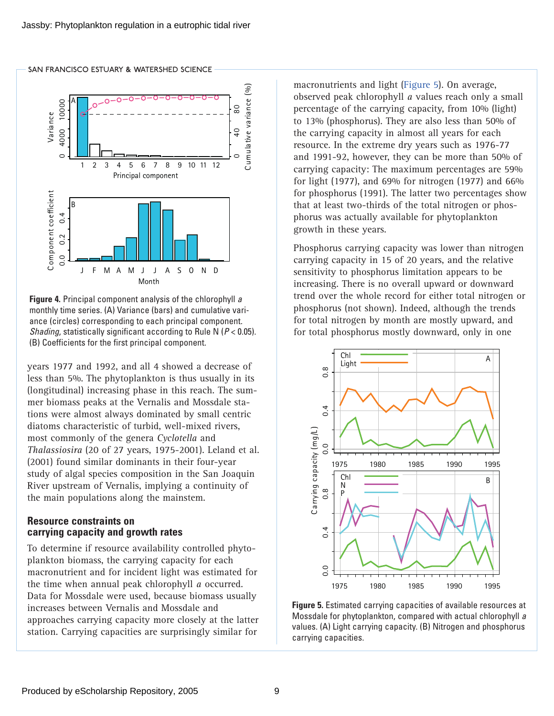

<span id="page-8-0"></span>SAN FRANCISCO ESTUARY & WATERSHED SCIENCE

**Figure 4.** Principal component analysis of the chlorophyll *a* monthly time series. (A) Variance (bars) and cumulative variance (circles) corresponding to each principal component. *Shading*, statistically significant according to Rule N (*P* < 0.05). (B) Coefficients for the first principal component.

years 1977 and 1992, and all 4 showed a decrease of less than 5%. The phytoplankton is thus usually in its (longitudinal) increasing phase in this reach. The summer biomass peaks at the Vernalis and Mossdale stations were almost always dominated by small centric diatoms characteristic of turbid, well-mixed rivers, most commonly of the genera *Cyclotella* and *Thalassiosira* (20 of 27 years, 1975-2001). Leland et al. (2001) found similar dominants in their four-year study of algal species composition in the San Joaquin River upstream of Vernalis, implying a continuity of the main populations along the mainstem.

## **Resource constraints on carrying capacity and growth rates**

To determine if resource availability controlled phytoplankton biomass, the carrying capacity for each macronutrient and for incident light was estimated for the time when annual peak chlorophyll *a* occurred. Data for Mossdale were used, because biomass usually increases between Vernalis and Mossdale and approaches carrying capacity more closely at the latter station. Carrying capacities are surprisingly similar for

macronutrients and light (Figure 5). On average, observed peak chlorophyll *a* values reach only a small percentage of the carrying capacity, from 10% (light) to 13% (phosphorus). They are also less than 50% of the carrying capacity in almost all years for each resource. In the extreme dry years such as 1976-77 and 1991-92, however, they can be more than 50% of carrying capacity: The maximum percentages are 59% for light (1977), and 69% for nitrogen (1977) and 66% for phosphorus (1991). The latter two percentages show that at least two-thirds of the total nitrogen or phosphorus was actually available for phytoplankton growth in these years.

Phosphorus carrying capacity was lower than nitrogen carrying capacity in 15 of 20 years, and the relative sensitivity to phosphorus limitation appears to be increasing. There is no overall upward or downward trend over the whole record for either total nitrogen or phosphorus (not shown). Indeed, although the trends for total nitrogen by month are mostly upward, and for total phosphorus mostly downward, only in one



**Figure 5.** Estimated carrying capacities of available resources at Mossdale for phytoplankton, compared with actual chlorophyll *a* values. (A) Light carrying capacity. (B) Nitrogen and phosphorus carrying capacities.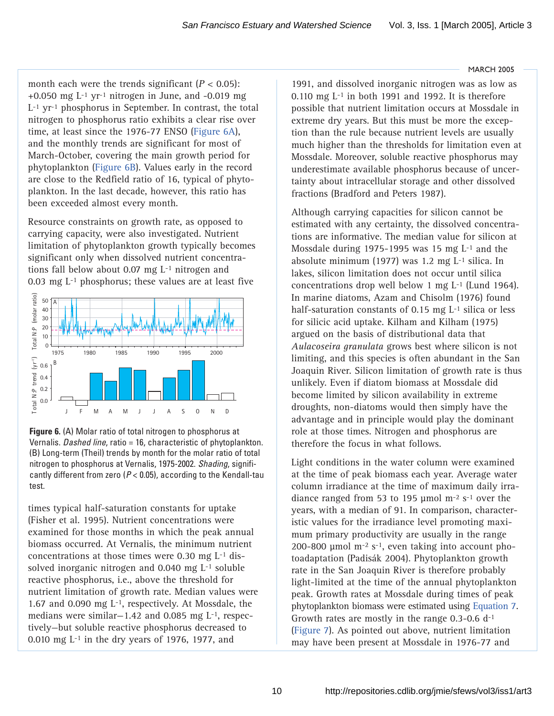<span id="page-9-0"></span>month each were the trends significant  $(P < 0.05)$ : +0.050 mg  $L^{-1}$  yr<sup>-1</sup> nitrogen in June, and -0.019 mg L-1 yr-1 phosphorus in September. In contrast, the total nitrogen to phosphorus ratio exhibits a clear rise over time, at least since the 1976-77 ENSO (Figure 6A), and the monthly trends are significant for most of March-October, covering the main growth period for phytoplankton (Figure 6B). Values early in the record are close to the Redfield ratio of 16, typical of phytoplankton. In the last decade, however, this ratio has been exceeded almost every month.

Resource constraints on growth rate, as opposed to carrying capacity, were also investigated. Nutrient limitation of phytoplankton growth typically becomes significant only when dissolved nutrient concentrations fall below about 0.07 mg L-1 nitrogen and 0.03 mg L-1 phosphorus; these values are at least five



**Figure 6.** (A) Molar ratio of total nitrogen to phosphorus at Vernalis. *Dashed line*, ratio = 16, characteristic of phytoplankton. (B) Long-term (Theil) trends by month for the molar ratio of total nitrogen to phosphorus at Vernalis, 1975-2002. *Shading*, significantly different from zero (*P* < 0.05), according to the Kendall-tau test.

times typical half-saturation constants for uptake (Fisher et al. 1995). Nutrient concentrations were examined for those months in which the peak annual biomass occurred. At Vernalis, the minimum nutrient concentrations at those times were 0.30 mg L-1 dissolved inorganic nitrogen and 0.040 mg L-1 soluble reactive phosphorus, i.e., above the threshold for nutrient limitation of growth rate. Median values were 1.67 and 0.090 mg L-1, respectively. At Mossdale, the medians were similar—1.42 and 0.085 mg L-1, respectively—but soluble reactive phosphorus decreased to 0.010 mg L-1 in the dry years of 1976, 1977, and

1991, and dissolved inorganic nitrogen was as low as 0.110 mg  $L<sup>-1</sup>$  in both 1991 and 1992. It is therefore possible that nutrient limitation occurs at Mossdale in extreme dry years. But this must be more the exception than the rule because nutrient levels are usually much higher than the thresholds for limitation even at Mossdale. Moreover, soluble reactive phosphorus may underestimate available phosphorus because of uncertainty about intracellular storage and other dissolved fractions (Bradford and Peters 1987).

Although carrying capacities for silicon cannot be estimated with any certainty, the dissolved concentrations are informative. The median value for silicon at Mossdale during 1975-1995 was 15 mg  $L<sup>-1</sup>$  and the absolute minimum (1977) was 1.2 mg L-1 silica. In lakes, silicon limitation does not occur until silica concentrations drop well below 1 mg L-1 (Lund 1964). In marine diatoms, Azam and Chisolm (1976) found half-saturation constants of 0.15 mg L<sup>-1</sup> silica or less for silicic acid uptake. Kilham and Kilham (1975) argued on the basis of distributional data that *Aulacoseira granulata* grows best where silicon is not limiting, and this species is often abundant in the San Joaquin River. Silicon limitation of growth rate is thus unlikely. Even if diatom biomass at Mossdale did become limited by silicon availability in extreme droughts, non-diatoms would then simply have the advantage and in principle would play the dominant role at those times. Nitrogen and phosphorus are therefore the focus in what follows.

Light conditions in the water column were examined at the time of peak biomass each year. Average water column irradiance at the time of maximum daily irradiance ranged from 53 to 195 µmol m-2 s-1 over the years, with a median of 91. In comparison, characteristic values for the irradiance level promoting maximum primary productivity are usually in the range 200-800  $\mu$ mol m<sup>-2</sup> s<sup>-1</sup>, even taking into account photoadaptation (Padisák 2004). Phytoplankton growth rate in the San Joaquin River is therefore probably light-limited at the time of the annual phytoplankton peak. Growth rates at Mossdale during times of peak phytoplankton biomass were estimated using [Equation 7.](#page-5-0) Growth rates are mostly in the range 0.3-0.6 d-1 [\(Figure 7\).](#page-10-0) As pointed out above, nutrient limitation may have been present at Mossdale in 1976-77 and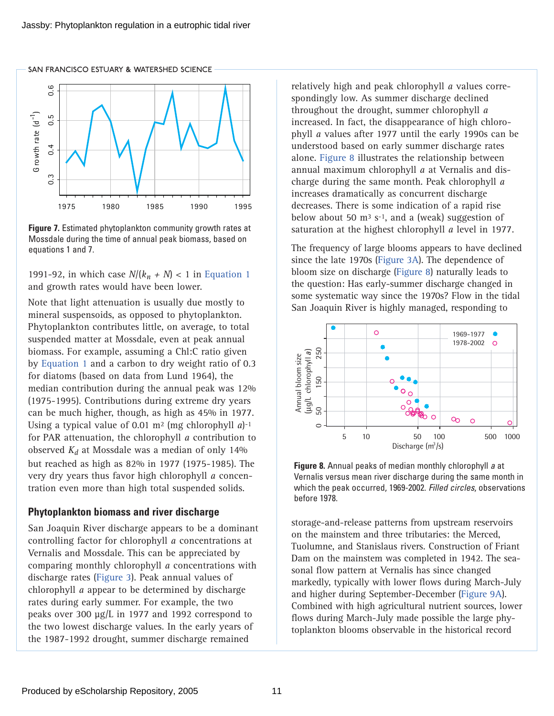<span id="page-10-0"></span>SAN FRANCISCO ESTUARY & WATERSHED SCIENCE



**Figure 7.** Estimated phytoplankton community growth rates at Mossdale during the time of annual peak biomass, based on equations 1 and 7.

1991-92, in which case  $N/(k_n + N) < 1$  i[n Equation 1](#page-3-0) and growth rates would have been lower.

Note that light attenuation is usually due mostly to mineral suspensoids, as opposed to phytoplankton. Phytoplankton contributes little, on average, to total suspended matter at Mossdale, even at peak annual biomass. For example, assuming a Chl:C ratio given by [Equation 1](#page-3-0) and a carbon to dry weight ratio of 0.3 for diatoms (based on data from Lund 1964), the median contribution during the annual peak was 12% (1975-1995). Contributions during extreme dry years can be much higher, though, as high as 45% in 1977. Using a typical value of 0.01 m2 (mg chlorophyll *a*)-1 for PAR attenuation, the chlorophyll *a* contribution to observed  $K_d$  at Mossdale was a median of only 14% but reached as high as 82% in 1977 (1975-1985). The very dry years thus favor high chlorophyll *a* concentration even more than high total suspended solids.

## **Phytoplankton biomass and river discharge**

San Joaquin River discharge appears to be a dominant controlling factor for chlorophyll *a* concentrations at Vernalis and Mossdale. This can be appreciated by comparing monthly chlorophyll *a* concentrations with discharge rates [\(Figure 3\).](#page-7-0) Peak annual values of chlorophyll *a* appear to be determined by discharge rates during early summer. For example, the two peaks over 300 µg/L in 1977 and 1992 correspond to the two lowest discharge values. In the early years of the 1987-1992 drought, summer discharge remained

relatively high and peak chlorophyll *a* values correspondingly low. As summer discharge declined throughout the drought, summer chlorophyll *a* increased. In fact, the disappearance of high chlorophyll *a* values after 1977 until the early 1990s can be understood based on early summer discharge rates alone. Figure 8 illustrates the relationship between annual maximum chlorophyll *a* at Vernalis and discharge during the same month. Peak chlorophyll *a* increases dramatically as concurrent discharge decreases. There is some indication of a rapid rise below about 50  $\text{m}^3$  s<sup>-1</sup>, and a (weak) suggestion of saturation at the highest chlorophyll *a* level in 1977.

The frequency of large blooms appears to have declined since the late 1970s [\(Figure 3A\).](#page-7-0) The dependence of bloom size on discharge (Figure 8) naturally leads to the question: Has early-summer discharge changed in some systematic way since the 1970s? Flow in the tidal San Joaquin River is highly managed, responding to



**Figure 8.** Annual peaks of median monthly chlorophyll *a* at Vernalis versus mean river discharge during the same month in which the peak occurred, 1969-2002. *Filled circles*, observations before 1978.

storage-and-release patterns from upstream reservoirs on the mainstem and three tributaries: the Merced, Tuolumne, and Stanislaus rivers. Construction of Friant Dam on the mainstem was completed in 1942. The seasonal flow pattern at Vernalis has since changed markedly, typically with lower flows during March-July and higher during September-Decembe[r \(Figure 9A\).](#page-11-0) Combined with high agricultural nutrient sources, lower flows during March-July made possible the large phytoplankton blooms observable in the historical record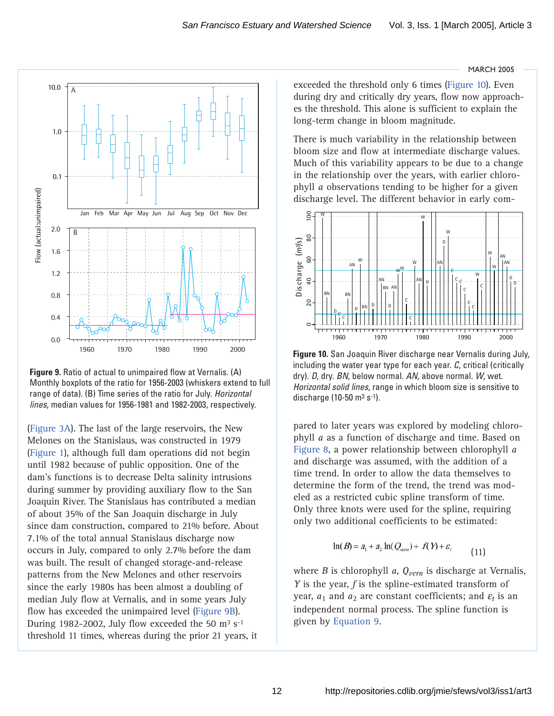<span id="page-11-0"></span>

*lines*, median values for 1956-1981 and 1982-2003, respectively. **Figure 9.** Ratio of actual to unimpaired flow at Vernalis. (A) Monthly boxplots of the ratio for 1956-2003 (whiskers extend to full range of data). (B) Time series of the ratio for July. *Horizontal*

[\(Figure 3A\).](#page-7-0) The last of the large reservoirs, the New Melones on the Stanislaus, was constructed in 1979 [\(Figure 1\),](#page-1-0) although full dam operations did not begin until 1982 because of public opposition. One of the dam's functions is to decrease Delta salinity intrusions during summer by providing auxiliary flow to the San Joaquin River. The Stanislaus has contributed a median of about 35% of the San Joaquin discharge in July since dam construction, compared to 21% before. About 7.1% of the total annual Stanislaus discharge now occurs in July, compared to only 2.7% before the dam was built. The result of changed storage-and-release patterns from the New Melones and other reservoirs since the early 1980s has been almost a doubling of median July flow at Vernalis, and in some years July flow has exceeded the unimpaired level (Figure 9B). During 1982-2002, July flow exceeded the 50  $\text{m}^3$  s<sup>-1</sup> threshold 11 times, whereas during the prior 21 years, it

**MARCH 2005** 

exceeded the threshold only 6 times (Figure 10). Even during dry and critically dry years, flow now approaches the threshold. This alone is sufficient to explain the long-term change in bloom magnitude.

There is much variability in the relationship between bloom size and flow at intermediate discharge values. Much of this variability appears to be due to a change in the relationship over the years, with earlier chlorophyll *a* observations tending to be higher for a given discharge level. The different behavior in early com-



**Figure 10.** San Joaquin River discharge near Vernalis during July, including the water year type for each year. *C*, critical (critically dry). *D*, dry. *BN*, below normal. *AN*, above normal. *W*, wet. *Horizontal solid lines*, range in which bloom size is sensitive to discharge (10-50  $\text{m}^3$  s<sup>-1</sup>).

pared to later years was explored by modeling chlorophyll *a* as a function of discharge and time. Based on [Figure 8, a](#page-10-0) power relationship between chlorophyll *a* and discharge was assumed, with the addition of a time trend. In order to allow the data themselves to determine the form of the trend, the trend was modeled as a restricted cubic spline transform of time. Only three knots were used for the spline, requiring only two additional coefficients to be estimated:

$$
\ln(B) = a_1 + a_2 \ln(Q_{\text{term}}) + f(Y) + \varepsilon_t \tag{11}
$$

where *B* is chlorophyll *a*, *Qvern* is discharge at Vernalis, *Y* is the year, *f* is the spline-estimated transform of year,  $a_1$  and  $a_2$  are constant coefficients; and  $\varepsilon_t$  is an independent normal process. The spline function is given b[y Equation 9.](#page-7-0)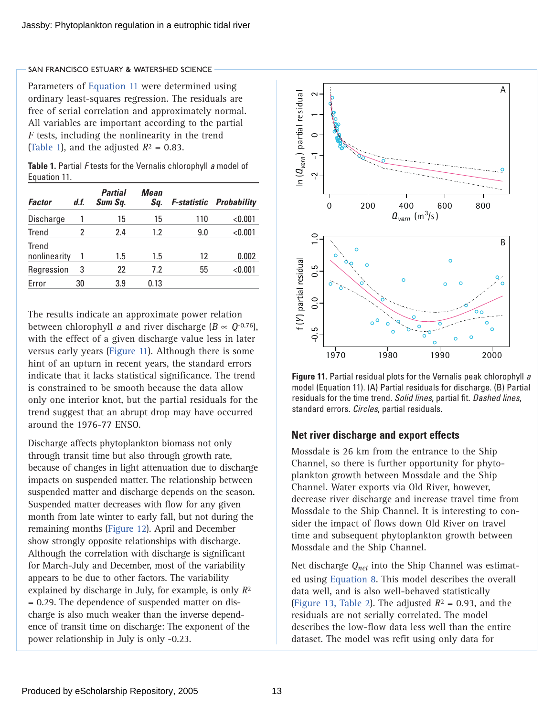<span id="page-12-0"></span>Parameters of [Equation 11](#page-11-0) were determined using ordinary least-squares regression. The residuals are free of serial correlation and approximately normal. All variables are important according to the partial *F* tests, including the nonlinearity in the trend (Table 1), and the adjusted  $R^2 = 0.83$ .

| <b>Table 1.</b> Partial F tests for the Vernalis chlorophyll a model of |  |
|-------------------------------------------------------------------------|--|
| Equation 11.                                                            |  |

| <b>Factor</b>         | d.f. | <b>Partial</b><br>Sum Sq. | Mean<br>Sq. |     | <b>F-statistic Probability</b> |
|-----------------------|------|---------------------------|-------------|-----|--------------------------------|
| Discharge             |      | 15                        | 15          | 110 | < 0.001                        |
| Trend                 | 2    | 2.4                       | 1.2         | 9.0 | < 0.001                        |
| Trend<br>nonlinearity | 1    | 1.5                       | 1.5         | 12  | 0.002                          |
| Regression            | 3    | 22                        | 7.2         | 55  | < 0.001                        |
| Error                 | 30   | 3.9                       | 0.13        |     |                                |

The results indicate an approximate power relation between chlorophyll *a* and river discharge ( $B \propto Q^{-0.76}$ ), with the effect of a given discharge value less in later versus early years (Figure 11). Although there is some hint of an upturn in recent years, the standard errors indicate that it lacks statistical significance. The trend is constrained to be smooth because the data allow only one interior knot, but the partial residuals for the trend suggest that an abrupt drop may have occurred around the 1976-77 ENSO.

Discharge affects phytoplankton biomass not only through transit time but also through growth rate, because of changes in light attenuation due to discharge impacts on suspended matter. The relationship between suspended matter and discharge depends on the season. Suspended matter decreases with flow for any given month from late winter to early fall, but not during the remaining month[s \(Figure 12\). A](#page-13-0)pril and December show strongly opposite relationships with discharge. Although the correlation with discharge is significant for March-July and December, most of the variability appears to be due to other factors. The variability explained by discharge in July, for example, is only *R*2 = 0.29. The dependence of suspended matter on discharge is also much weaker than the inverse dependence of transit time on discharge: The exponent of the power relationship in July is only -0.23.



**Figure 11.** Partial residual plots for the Vernalis peak chlorophyll *a* model (Equation 11). (A) Partial residuals for discharge. (B) Partial residuals for the time trend. *Solid lines*, partial fit. *Dashed lines*, standard errors. *Circles*, partial residuals.

## **Net river discharge and export effects**

Mossdale is 26 km from the entrance to the Ship Channel, so there is further opportunity for phytoplankton growth between Mossdale and the Ship Channel. Water exports via Old River, however, decrease river discharge and increase travel time from Mossdale to the Ship Channel. It is interesting to consider the impact of flows down Old River on travel time and subsequent phytoplankton growth between Mossdale and the Ship Channel.

Net discharge *Qnet* into the Ship Channel was estimated using [Equation 8.](#page-6-0) This model describes the overall data well, and is also well-behaved statistically [\(Figure 13, Table 2\).](#page-13-0) The adjusted  $R^2 = 0.93$ , and the residuals are not serially correlated. The model describes the low-flow data less well than the entire dataset. The model was refit using only data for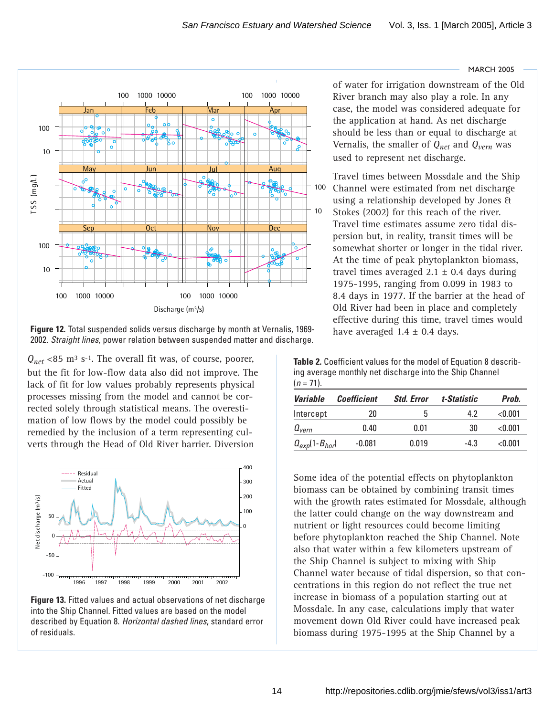<span id="page-13-0"></span>

**Figure 12.** Total suspended solids versus discharge by month at Vernalis, 1969- 2002. *Straight lines*, power relation between suspended matter and discharge.

 $Q_{net}$  <85 m<sup>3</sup> s<sup>-1</sup>. The overall fit was, of course, poorer, but the fit for low-flow data also did not improve. The lack of fit for low values probably represents physical processes missing from the model and cannot be corrected solely through statistical means. The overestimation of low flows by the model could possibly be remedied by the inclusion of a term representing culverts through the Head of Old River barrier. Diversion



**Figure 13.** Fitted values and actual observations of net discharge into the Ship Channel. Fitted values are based on the model described by Equation 8. *Horizontal dashed lines*, standard error of residuals.

of water for irrigation downstream of the Old River branch may also play a role. In any case, the model was considered adequate for the application at hand. As net discharge should be less than or equal to discharge at Vernalis, the smaller of *Qnet* and *Qvern* was used to represent net discharge.

**MARCH 2005** 

Travel times between Mossdale and the Ship Channel were estimated from net discharge using a relationship developed by Jones & Stokes (2002) for this reach of the river. Travel time estimates assume zero tidal dispersion but, in reality, transit times will be somewhat shorter or longer in the tidal river. At the time of peak phytoplankton biomass, travel times averaged  $2.1 \pm 0.4$  days during 1975-1995, ranging from 0.099 in 1983 to 8.4 days in 1977. If the barrier at the head of Old River had been in place and completely effective during this time, travel times would have averaged  $1.4 \pm 0.4$  days.

**Table 2.** Coefficient values for the model of Equation 8 describing average monthly net discharge into the Ship Channel  $(n = 71)$ .

| <b>Variable</b>      | <b>Coefficient</b> | <b>Std. Error</b> | t-Statistic | Prob.   |
|----------------------|--------------------|-------------------|-------------|---------|
| Intercept            | 20                 | b                 | 4.2         | < 0.001 |
| $a_{\rm{vern}}$      | 0.40               | 0.01              | 30          | < 0.001 |
| $Q_{exp}(1-B_{hor})$ | $-0.081$           | 0.019             | $-4.3$      | < 0.001 |

Some idea of the potential effects on phytoplankton biomass can be obtained by combining transit times with the growth rates estimated for Mossdale, although the latter could change on the way downstream and nutrient or light resources could become limiting before phytoplankton reached the Ship Channel. Note also that water within a few kilometers upstream of the Ship Channel is subject to mixing with Ship Channel water because of tidal dispersion, so that concentrations in this region do not reflect the true net increase in biomass of a population starting out at Mossdale. In any case, calculations imply that water movement down Old River could have increased peak biomass during 1975-1995 at the Ship Channel by a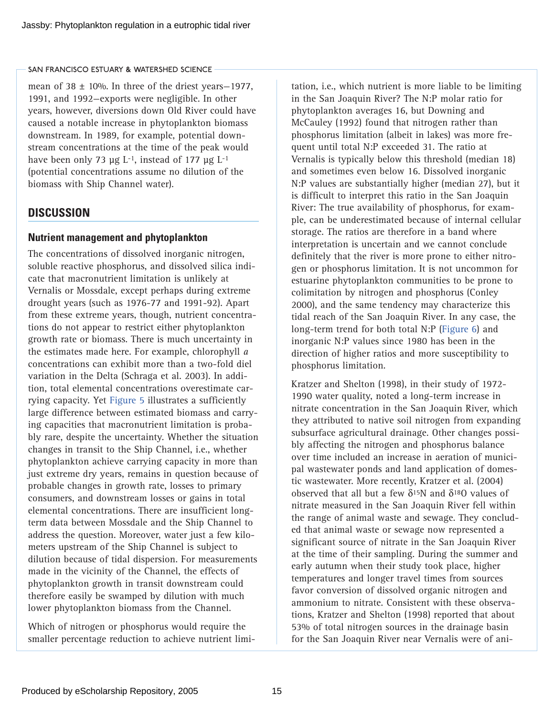mean of  $38 \pm 10\%$ . In three of the driest years-1977, 1991, and 1992—exports were negligible. In other years, however, diversions down Old River could have caused a notable increase in phytoplankton biomass downstream. In 1989, for example, potential downstream concentrations at the time of the peak would have been only 73  $\mu$ g L<sup>-1</sup>, instead of 177  $\mu$ g L<sup>-1</sup> (potential concentrations assume no dilution of the biomass with Ship Channel water).

## **DISCUSSION**

## **Nutrient management and phytoplankton**

The concentrations of dissolved inorganic nitrogen, soluble reactive phosphorus, and dissolved silica indicate that macronutrient limitation is unlikely at Vernalis or Mossdale, except perhaps during extreme drought years (such as 1976-77 and 1991-92). Apart from these extreme years, though, nutrient concentrations do not appear to restrict either phytoplankton growth rate or biomass. There is much uncertainty in the estimates made here. For example, chlorophyll *a* concentrations can exhibit more than a two-fold diel variation in the Delta (Schraga et al. 2003). In addition, total elemental concentrations overestimate carrying capacity. Y[et Figure 5](#page-8-0) illustrates a sufficiently large difference between estimated biomass and carrying capacities that macronutrient limitation is probably rare, despite the uncertainty. Whether the situation changes in transit to the Ship Channel, i.e., whether phytoplankton achieve carrying capacity in more than just extreme dry years, remains in question because of probable changes in growth rate, losses to primary consumers, and downstream losses or gains in total elemental concentrations. There are insufficient longterm data between Mossdale and the Ship Channel to address the question. Moreover, water just a few kilometers upstream of the Ship Channel is subject to dilution because of tidal dispersion. For measurements made in the vicinity of the Channel, the effects of phytoplankton growth in transit downstream could therefore easily be swamped by dilution with much lower phytoplankton biomass from the Channel.

Which of nitrogen or phosphorus would require the smaller percentage reduction to achieve nutrient limi-

tation, i.e., which nutrient is more liable to be limiting in the San Joaquin River? The N:P molar ratio for phytoplankton averages 16, but Downing and McCauley (1992) found that nitrogen rather than phosphorus limitation (albeit in lakes) was more frequent until total N:P exceeded 31. The ratio at Vernalis is typically below this threshold (median 18) and sometimes even below 16. Dissolved inorganic N:P values are substantially higher (median 27), but it is difficult to interpret this ratio in the San Joaquin River: The true availability of phosphorus, for example, can be underestimated because of internal cellular storage. The ratios are therefore in a band where interpretation is uncertain and we cannot conclude definitely that the river is more prone to either nitrogen or phosphorus limitation. It is not uncommon for estuarine phytoplankton communities to be prone to colimitation by nitrogen and phosphorus (Conley 2000), and the same tendency may characterize this tidal reach of the San Joaquin River. In any case, the long-term trend for both total N:[P \(Figure 6\) a](#page-9-0)nd inorganic N:P values since 1980 has been in the direction of higher ratios and more susceptibility to phosphorus limitation.

Kratzer and Shelton (1998), in their study of 1972- 1990 water quality, noted a long-term increase in nitrate concentration in the San Joaquin River, which they attributed to native soil nitrogen from expanding subsurface agricultural drainage. Other changes possibly affecting the nitrogen and phosphorus balance over time included an increase in aeration of municipal wastewater ponds and land application of domestic wastewater. More recently, Kratzer et al. (2004) observed that all but a few  $\delta^{15}$ N and  $\delta^{18}$ O values of nitrate measured in the San Joaquin River fell within the range of animal waste and sewage. They concluded that animal waste or sewage now represented a significant source of nitrate in the San Joaquin River at the time of their sampling. During the summer and early autumn when their study took place, higher temperatures and longer travel times from sources favor conversion of dissolved organic nitrogen and ammonium to nitrate. Consistent with these observations, Kratzer and Shelton (1998) reported that about 53% of total nitrogen sources in the drainage basin for the San Joaquin River near Vernalis were of ani-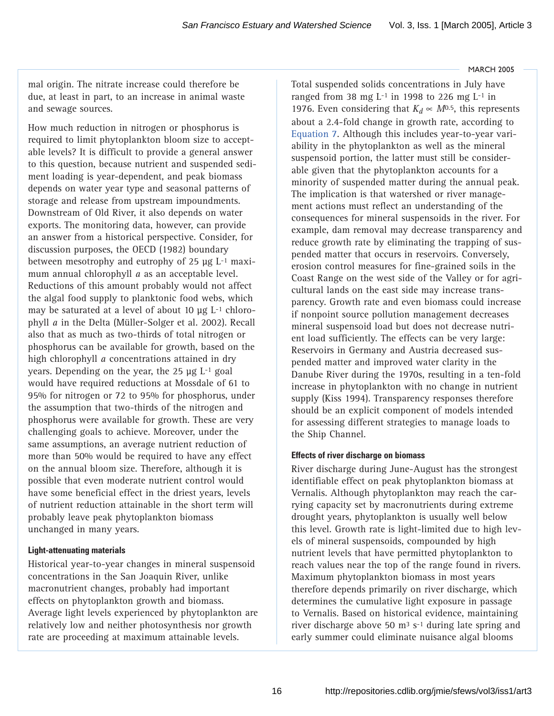mal origin. The nitrate increase could therefore be due, at least in part, to an increase in animal waste and sewage sources.

How much reduction in nitrogen or phosphorus is required to limit phytoplankton bloom size to acceptable levels? It is difficult to provide a general answer to this question, because nutrient and suspended sediment loading is year-dependent, and peak biomass depends on water year type and seasonal patterns of storage and release from upstream impoundments. Downstream of Old River, it also depends on water exports. The monitoring data, however, can provide an answer from a historical perspective. Consider, for discussion purposes, the OECD (1982) boundary between mesotrophy and eutrophy of 25 µg L-1 maximum annual chlorophyll *a* as an acceptable level. Reductions of this amount probably would not affect the algal food supply to planktonic food webs, which may be saturated at a level of about 10  $\mu$ g L<sup>-1</sup> chlorophyll *a* in the Delta (Müller-Solger et al. 2002). Recall also that as much as two-thirds of total nitrogen or phosphorus can be available for growth, based on the high chlorophyll *a* concentrations attained in dry years. Depending on the year, the 25 µg L-1 goal would have required reductions at Mossdale of 61 to 95% for nitrogen or 72 to 95% for phosphorus, under the assumption that two-thirds of the nitrogen and phosphorus were available for growth. These are very challenging goals to achieve. Moreover, under the same assumptions, an average nutrient reduction of more than 50% would be required to have any effect on the annual bloom size. Therefore, although it is possible that even moderate nutrient control would have some beneficial effect in the driest years, levels of nutrient reduction attainable in the short term will probably leave peak phytoplankton biomass unchanged in many years.

#### **Light-attenuating materials**

Historical year-to-year changes in mineral suspensoid concentrations in the San Joaquin River, unlike macronutrient changes, probably had important effects on phytoplankton growth and biomass. Average light levels experienced by phytoplankton are relatively low and neither photosynthesis nor growth rate are proceeding at maximum attainable levels.

Total suspended solids concentrations in July have ranged from 38 mg  $L$ <sup>-1</sup> in 1998 to 226 mg  $L$ <sup>-1</sup> in 1976. Even considering that  $K_d \propto M^{0.5}$ , this represents about a 2.4-fold change in growth rate, according to [Equation 7. A](#page-5-0)lthough this includes year-to-year variability in the phytoplankton as well as the mineral suspensoid portion, the latter must still be considerable given that the phytoplankton accounts for a minority of suspended matter during the annual peak. The implication is that watershed or river management actions must reflect an understanding of the consequences for mineral suspensoids in the river. For example, dam removal may decrease transparency and reduce growth rate by eliminating the trapping of suspended matter that occurs in reservoirs. Conversely, erosion control measures for fine-grained soils in the Coast Range on the west side of the Valley or for agricultural lands on the east side may increase transparency. Growth rate and even biomass could increase if nonpoint source pollution management decreases mineral suspensoid load but does not decrease nutrient load sufficiently. The effects can be very large: Reservoirs in Germany and Austria decreased suspended matter and improved water clarity in the Danube River during the 1970s, resulting in a ten-fold increase in phytoplankton with no change in nutrient supply (Kiss 1994). Transparency responses therefore should be an explicit component of models intended for assessing different strategies to manage loads to the Ship Channel.

#### **Effects of river discharge on biomass**

River discharge during June-August has the strongest identifiable effect on peak phytoplankton biomass at Vernalis. Although phytoplankton may reach the carrying capacity set by macronutrients during extreme drought years, phytoplankton is usually well below this level. Growth rate is light-limited due to high levels of mineral suspensoids, compounded by high nutrient levels that have permitted phytoplankton to reach values near the top of the range found in rivers. Maximum phytoplankton biomass in most years therefore depends primarily on river discharge, which determines the cumulative light exposure in passage to Vernalis. Based on historical evidence, maintaining river discharge above 50  $\text{m}^3$  s<sup>-1</sup> during late spring and early summer could eliminate nuisance algal blooms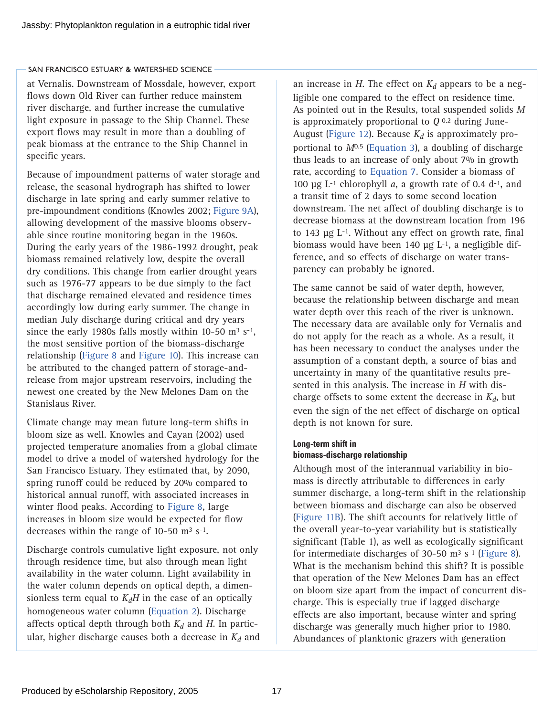at Vernalis. Downstream of Mossdale, however, export flows down Old River can further reduce mainstem river discharge, and further increase the cumulative light exposure in passage to the Ship Channel. These export flows may result in more than a doubling of peak biomass at the entrance to the Ship Channel in specific years.

Because of impoundment patterns of water storage and release, the seasonal hydrograph has shifted to lower discharge in late spring and early summer relative to pre-impoundment conditions (Knowles 2002; Figure 9A), allowing development of the massive blooms observable since routine monitoring began in the 1960s. During the early years of the 1986-1992 drought, peak biomass remained relatively low, despite the overall dry conditions. This change from earlier drought years such as 1976-77 appears to be due simply to the fact that discharge remained elevated and residence times accordingly low during early summer. The change in median July discharge during critical and dry years since the early 1980s falls mostly within 10-50  $\text{m}^3$  s<sup>-1</sup>, the most sensitive portion of the biomass-discharge relationship [\(Figure 8](#page-10-0) an[d Figure 10\)](#page-11-0). This increase can be attributed to the changed pattern of storage-andrelease from major upstream reservoirs, including the newest one created by the New Melones Dam on the Stanislaus River.

Climate change may mean future long-term shifts in bloom size as well. Knowles and Cayan (2002) used projected temperature anomalies from a global climate model to drive a model of watershed hydrology for the San Francisco Estuary. They estimated that, by 2090, spring runoff could be reduced by 20% compared to historical annual runoff, with associated increases in winter flood peaks. According [to Figure 8, l](#page-10-0)arge increases in bloom size would be expected for flow decreases within the range of 10-50  $\text{m}^3$  s<sup>-1</sup>.

Discharge controls cumulative light exposure, not only through residence time, but also through mean light availability in the water column. Light availability in the water column depends on optical depth, a dimensionless term equal to  $K_dH$  in the case of an optically homogeneous water colum[n \(Equation 2\).](#page-4-0) Discharge affects optical depth through both  $K_d$  and  $H$ . In particular, higher discharge causes both a decrease in  $K_d$  and an increase in  $H$ . The effect on  $K_d$  appears to be a negligible one compared to the effect on residence time. As pointed out in the Results, total suspended solids *M* is approximately proportional to *Q*-0.2 during JuneAugus[t \(Figure 12\).](#page-13-0) Because  $K_d$  is approximately proportional to *M*0.5 [\(Equation 3\),](#page-4-0) a doubling of discharge thus leads to an increase of only about 7% in growth rate, according t[o Equation 7.](#page-5-0) Consider a biomass of 100  $\mu$ g L<sup>-1</sup> chlorophyll *a*, a growth rate of 0.4 d<sup>-1</sup>, and a transit time of 2 days to some second location downstream. The net affect of doubling discharge is to decrease biomass at the downstream location from 196 to 143 µg L-1. Without any effect on growth rate, final biomass would have been 140  $\mu$ g L<sup>-1</sup>, a negligible difference, and so effects of discharge on water transparency can probably be ignored.

The same cannot be said of water depth, however, because the relationship between discharge and mean water depth over this reach of the river is unknown. The necessary data are available only for Vernalis and do not apply for the reach as a whole. As a result, it has been necessary to conduct the analyses under the assumption of a constant depth, a source of bias and uncertainty in many of the quantitative results presented in this analysis. The increase in *H* with discharge offsets to some extent the decrease in  $K_d$ , but even the sign of the net effect of discharge on optical depth is not known for sure.

## **Long-term shift in biomass-discharge relationship**

Although most of the interannual variability in biomass is directly attributable to differences in early summer discharge, a long-term shift in the relationship between biomass and discharge can also be observed [\(Figure 11B\).](#page-12-0) The shift accounts for relatively little of the overall year-to-year variability but is statistically significant (Table 1), as well as ecologically significant for intermediate discharges of 30-50  $\text{m}^3$  s<sup>-1</sup> [\(Figure 8\).](#page-10-0) What is the mechanism behind this shift? It is possible that operation of the New Melones Dam has an effect on bloom size apart from the impact of concurrent discharge. This is especially true if lagged discharge effects are also important, because winter and spring discharge was generally much higher prior to 1980. Abundances of planktonic grazers with generation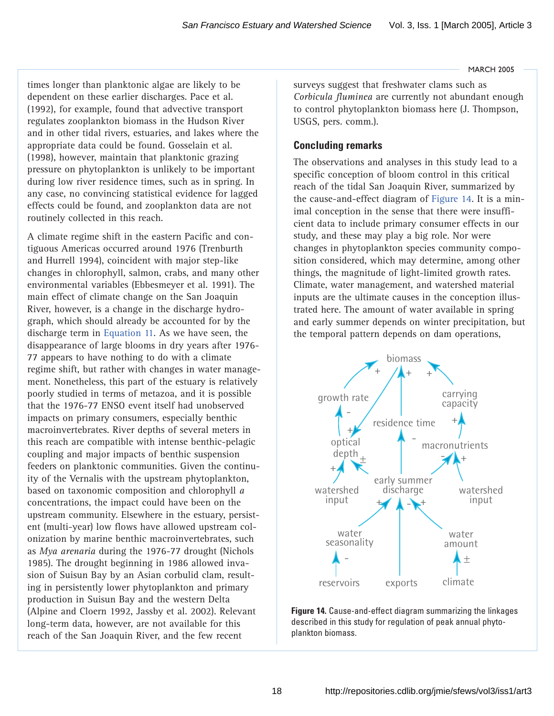times longer than planktonic algae are likely to be dependent on these earlier discharges. Pace et al. (1992), for example, found that advective transport regulates zooplankton biomass in the Hudson River and in other tidal rivers, estuaries, and lakes where the appropriate data could be found. Gosselain et al. (1998), however, maintain that planktonic grazing pressure on phytoplankton is unlikely to be important during low river residence times, such as in spring. In any case, no convincing statistical evidence for lagged effects could be found, and zooplankton data are not routinely collected in this reach.

A climate regime shift in the eastern Pacific and contiguous Americas occurred around 1976 (Trenburth and Hurrell 1994), coincident with major step-like changes in chlorophyll, salmon, crabs, and many other environmental variables (Ebbesmeyer et al. 1991). The main effect of climate change on the San Joaquin River, however, is a change in the discharge hydrograph, which should already be accounted for by the discharge term i[n Equation 11. A](#page-11-0)s we have seen, the disappearance of large blooms in dry years after 1976- 77 appears to have nothing to do with a climate regime shift, but rather with changes in water management. Nonetheless, this part of the estuary is relatively poorly studied in terms of metazoa, and it is possible that the 1976-77 ENSO event itself had unobserved impacts on primary consumers, especially benthic macroinvertebrates. River depths of several meters in this reach are compatible with intense benthic-pelagic coupling and major impacts of benthic suspension feeders on planktonic communities. Given the continuity of the Vernalis with the upstream phytoplankton, based on taxonomic composition and chlorophyll *a* concentrations, the impact could have been on the upstream community. Elsewhere in the estuary, persistent (multi-year) low flows have allowed upstream colonization by marine benthic macroinvertebrates, such as *Mya arenaria* during the 1976-77 drought (Nichols 1985). The drought beginning in 1986 allowed invasion of Suisun Bay by an Asian corbulid clam, resulting in persistently lower phytoplankton and primary production in Suisun Bay and the western Delta (Alpine and Cloern 1992, Jassby et al. 2002). Relevant long-term data, however, are not available for this reach of the San Joaquin River, and the few recent

**MARCH 2005** 

surveys suggest that freshwater clams such as *Corbicula fluminea* are currently not abundant enough to control phytoplankton biomass here (J. Thompson, USGS, pers. comm.).

## **Concluding remarks**

The observations and analyses in this study lead to a specific conception of bloom control in this critical reach of the tidal San Joaquin River, summarized by the cause-and-effect diagram of Figure 14. It is a minimal conception in the sense that there were insufficient data to include primary consumer effects in our study, and these may play a big role. Nor were changes in phytoplankton species community composition considered, which may determine, among other things, the magnitude of light-limited growth rates. Climate, water management, and watershed material inputs are the ultimate causes in the conception illustrated here. The amount of water available in spring and early summer depends on winter precipitation, but the temporal pattern depends on dam operations,



**Figure 14.** Cause-and-effect diagram summarizing the linkages described in this study for regulation of peak annual phytoplankton biomass.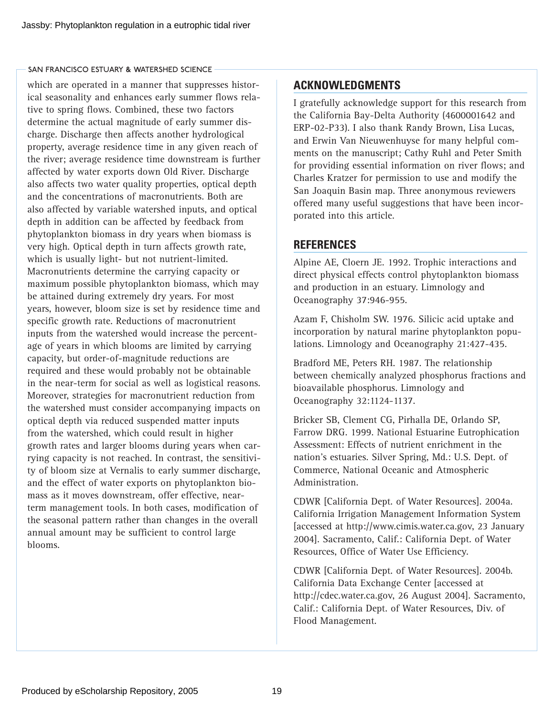which are operated in a manner that suppresses historical seasonality and enhances early summer flows relative to spring flows. Combined, these two factors determine the actual magnitude of early summer discharge. Discharge then affects another hydrological property, average residence time in any given reach of the river; average residence time downstream is further affected by water exports down Old River. Discharge also affects two water quality properties, optical depth and the concentrations of macronutrients. Both are also affected by variable watershed inputs, and optical depth in addition can be affected by feedback from phytoplankton biomass in dry years when biomass is very high. Optical depth in turn affects growth rate, which is usually light- but not nutrient-limited. Macronutrients determine the carrying capacity or maximum possible phytoplankton biomass, which may be attained during extremely dry years. For most years, however, bloom size is set by residence time and specific growth rate. Reductions of macronutrient inputs from the watershed would increase the percentage of years in which blooms are limited by carrying capacity, but order-of-magnitude reductions are required and these would probably not be obtainable in the near-term for social as well as logistical reasons. Moreover, strategies for macronutrient reduction from the watershed must consider accompanying impacts on optical depth via reduced suspended matter inputs from the watershed, which could result in higher growth rates and larger blooms during years when carrying capacity is not reached. In contrast, the sensitivity of bloom size at Vernalis to early summer discharge, and the effect of water exports on phytoplankton biomass as it moves downstream, offer effective, nearterm management tools. In both cases, modification of the seasonal pattern rather than changes in the overall annual amount may be sufficient to control large blooms.

# **ACKNOWLEDGMENTS**

I gratefully acknowledge support for this research from the California Bay-Delta Authority (4600001642 and ERP-02-P33). I also thank Randy Brown, Lisa Lucas, and Erwin Van Nieuwenhuyse for many helpful comments on the manuscript; Cathy Ruhl and Peter Smith for providing essential information on river flows; and Charles Kratzer for permission to use and modify the San Joaquin Basin map. Three anonymous reviewers offered many useful suggestions that have been incorporated into this article.

# **REFERENCES**

Alpine AE, Cloern JE. 1992. Trophic interactions and direct physical effects control phytoplankton biomass and production in an estuary. Limnology and Oceanography 37:946-955.

Azam F, Chisholm SW. 1976. Silicic acid uptake and incorporation by natural marine phytoplankton populations. Limnology and Oceanography 21:427-435.

Bradford ME, Peters RH. 1987. The relationship between chemically analyzed phosphorus fractions and bioavailable phosphorus. Limnology and Oceanography 32:1124-1137.

Bricker SB, Clement CG, Pirhalla DE, Orlando SP, Farrow DRG. 1999. National Estuarine Eutrophication Assessment: Effects of nutrient enrichment in the nation's estuaries. Silver Spring, Md.: U.S. Dept. of Commerce, National Oceanic and Atmospheric Administration.

CDWR [California Dept. of Water Resources]. 2004a. California Irrigation Management Information System [accessed at [http://www.cimis.water.ca.gov,](http://www.cimis.water.ca.gov) 23 January 2004]. Sacramento, Calif.: California Dept. of Water Resources, Office of Water Use Efficiency.

CDWR [California Dept. of Water Resources]. 2004b. California Data Exchange Center [accessed at [http://cdec.water.ca.gov,](http://cdec.water.ca.gov) 26 August 2004]. Sacramento, Calif.: California Dept. of Water Resources, Div. of Flood Management.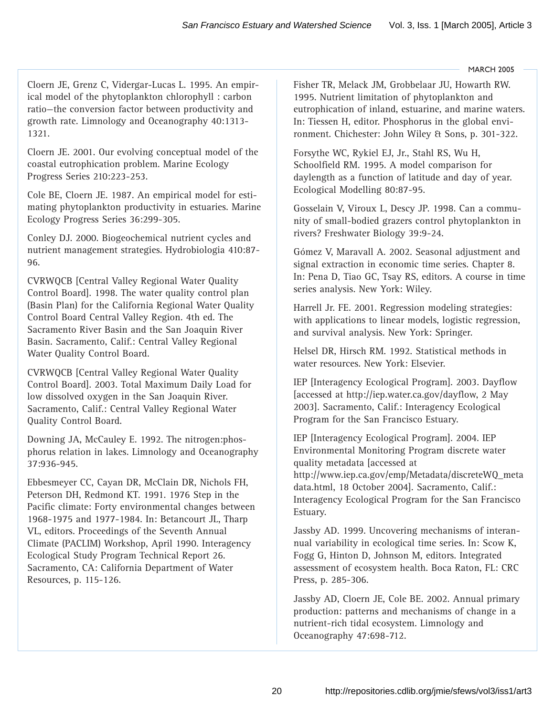Cloern JE, Grenz C, Vidergar-Lucas L. 1995. An empirical model of the phytoplankton chlorophyll : carbon ratio—the conversion factor between productivity and growth rate. Limnology and Oceanography 40:1313- 1321.

Cloern JE. 2001. Our evolving conceptual model of the coastal eutrophication problem. Marine Ecology Progress Series 210:223-253.

Cole BE, Cloern JE. 1987. An empirical model for estimating phytoplankton productivity in estuaries. Marine Ecology Progress Series 36:299-305.

Conley DJ. 2000. Biogeochemical nutrient cycles and nutrient management strategies. Hydrobiologia 410:87- 96.

CVRWQCB [Central Valley Regional Water Quality Control Board]. 1998. The water quality control plan (Basin Plan) for the California Regional Water Quality Control Board Central Valley Region. 4th ed. The Sacramento River Basin and the San Joaquin River Basin. Sacramento, Calif.: Central Valley Regional Water Quality Control Board.

CVRWQCB [Central Valley Regional Water Quality Control Board]. 2003. Total Maximum Daily Load for low dissolved oxygen in the San Joaquin River. Sacramento, Calif.: Central Valley Regional Water Quality Control Board.

Downing JA, McCauley E. 1992. The nitrogen:phosphorus relation in lakes. Limnology and Oceanography 37:936-945.

Ebbesmeyer CC, Cayan DR, McClain DR, Nichols FH, Peterson DH, Redmond KT. 1991. 1976 Step in the Pacific climate: Forty environmental changes between 1968-1975 and 1977-1984. In: Betancourt JL, Tharp VL, editors. Proceedings of the Seventh Annual Climate (PACLIM) Workshop, April 1990. Interagency Ecological Study Program Technical Report 26. Sacramento, CA: California Department of Water Resources, p. 115-126.

Fisher TR, Melack JM, Grobbelaar JU, Howarth RW. 1995. Nutrient limitation of phytoplankton and eutrophication of inland, estuarine, and marine waters. In: Tiessen H, editor. Phosphorus in the global environment. Chichester: John Wiley & Sons, p. 301-322.

Forsythe WC, Rykiel EJ, Jr., Stahl RS, Wu H, Schoolfield RM. 1995. A model comparison for daylength as a function of latitude and day of year. Ecological Modelling 80:87-95.

Gosselain V, Viroux L, Descy JP. 1998. Can a community of small-bodied grazers control phytoplankton in rivers? Freshwater Biology 39:9-24.

Gómez V, Maravall A. 2002. Seasonal adjustment and signal extraction in economic time series. Chapter 8. In: Pena D, Tiao GC, Tsay RS, editors. A course in time series analysis. New York: Wiley.

Harrell Jr. FE. 2001. Regression modeling strategies: with applications to linear models, logistic regression, and survival analysis. New York: Springer.

Helsel DR, Hirsch RM. 1992. Statistical methods in water resources. New York: Elsevier.

IEP [Interagency Ecological Program]. 2003. Dayflow [accessed at [http://iep.water.ca.gov/dayflow,](http://iep.water.ca.gov/dayflow) 2 May 2003]. Sacramento, Calif.: Interagency Ecological Program for the San Francisco Estuary.

IEP [Interagency Ecological Program]. 2004. IEP Environmental Monitoring Program discrete water quality metadata [accessed at [http://www.iep.ca.gov/emp/Metadata/discreteWQ\\_meta](http://www.iep.ca.gov/emp/Metadata/discreteWQ_meta) data.html, 18 October 2004]. Sacramento, Calif.: Interagency Ecological Program for the San Francisco Estuary.

Jassby AD. 1999. Uncovering mechanisms of interannual variability in ecological time series. In: Scow K, Fogg G, Hinton D, Johnson M, editors. Integrated assessment of ecosystem health. Boca Raton, FL: CRC Press, p. 285-306.

Jassby AD, Cloern JE, Cole BE. 2002. Annual primary production: patterns and mechanisms of change in a nutrient-rich tidal ecosystem. Limnology and Oceanography 47:698-712.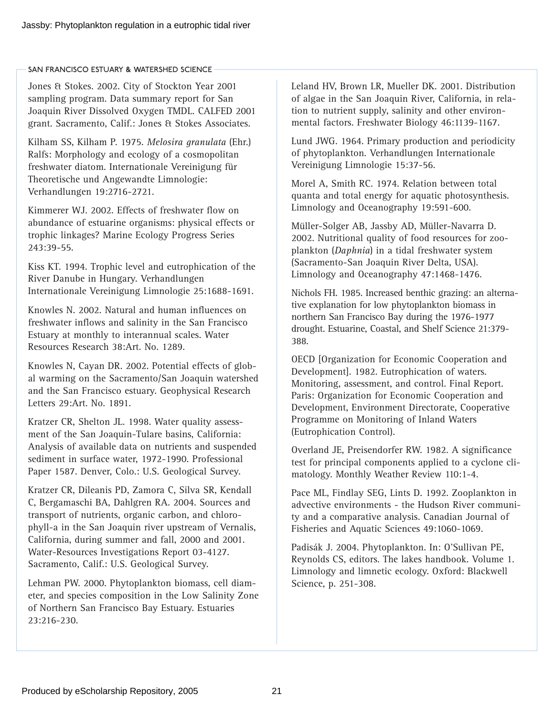Jones & Stokes. 2002. City of Stockton Year 2001 sampling program. Data summary report for San Joaquin River Dissolved Oxygen TMDL. CALFED 2001 grant. Sacramento, Calif.: Jones & Stokes Associates.

Kilham SS, Kilham P. 1975. *Melosira granulata* (Ehr.) Ralfs: Morphology and ecology of a cosmopolitan freshwater diatom. Internationale Vereinigung für Theoretische und Angewandte Limnologie: Verhandlungen 19:2716-2721.

Kimmerer WJ. 2002. Effects of freshwater flow on abundance of estuarine organisms: physical effects or trophic linkages? Marine Ecology Progress Series 243:39-55.

Kiss KT. 1994. Trophic level and eutrophication of the River Danube in Hungary. Verhandlungen Internationale Vereinigung Limnologie 25:1688-1691.

Knowles N. 2002. Natural and human influences on freshwater inflows and salinity in the San Francisco Estuary at monthly to interannual scales. Water Resources Research 38:Art. No. 1289.

Knowles N, Cayan DR. 2002. Potential effects of global warming on the Sacramento/San Joaquin watershed and the San Francisco estuary. Geophysical Research Letters 29:Art. No. 1891.

Kratzer CR, Shelton JL. 1998. Water quality assessment of the San Joaquin-Tulare basins, California: Analysis of available data on nutrients and suspended sediment in surface water, 1972-1990. Professional Paper 1587. Denver, Colo.: U.S. Geological Survey.

Kratzer CR, Dileanis PD, Zamora C, Silva SR, Kendall C, Bergamaschi BA, Dahlgren RA. 2004. Sources and transport of nutrients, organic carbon, and chlorophyll-a in the San Joaquin river upstream of Vernalis, California, during summer and fall, 2000 and 2001. Water-Resources Investigations Report 03-4127. Sacramento, Calif.: U.S. Geological Survey.

Lehman PW. 2000. Phytoplankton biomass, cell diameter, and species composition in the Low Salinity Zone of Northern San Francisco Bay Estuary. Estuaries 23:216-230.

Leland HV, Brown LR, Mueller DK. 2001. Distribution of algae in the San Joaquin River, California, in relation to nutrient supply, salinity and other environmental factors. Freshwater Biology 46:1139-1167.

Lund JWG. 1964. Primary production and periodicity of phytoplankton. Verhandlungen Internationale Vereinigung Limnologie 15:37-56.

Morel A, Smith RC. 1974. Relation between total quanta and total energy for aquatic photosynthesis. Limnology and Oceanography 19:591-600.

Müller-Solger AB, Jassby AD, Müller-Navarra D. 2002. Nutritional quality of food resources for zooplankton (*Daphnia*) in a tidal freshwater system (Sacramento-San Joaquin River Delta, USA). Limnology and Oceanography 47:1468-1476.

Nichols FH. 1985. Increased benthic grazing: an alternative explanation for low phytoplankton biomass in northern San Francisco Bay during the 1976-1977 drought. Estuarine, Coastal, and Shelf Science 21:379- 388.

OECD [Organization for Economic Cooperation and Development]. 1982. Eutrophication of waters. Monitoring, assessment, and control. Final Report. Paris: Organization for Economic Cooperation and Development, Environment Directorate, Cooperative Programme on Monitoring of Inland Waters (Eutrophication Control).

Overland JE, Preisendorfer RW. 1982. A significance test for principal components applied to a cyclone climatology. Monthly Weather Review 110:1-4.

Pace ML, Findlay SEG, Lints D. 1992. Zooplankton in advective environments - the Hudson River community and a comparative analysis. Canadian Journal of Fisheries and Aquatic Sciences 49:1060-1069.

Padisák J. 2004. Phytoplankton. In: O'Sullivan PE, Reynolds CS, editors. The lakes handbook. Volume 1. Limnology and limnetic ecology. Oxford: Blackwell Science, p. 251-308.